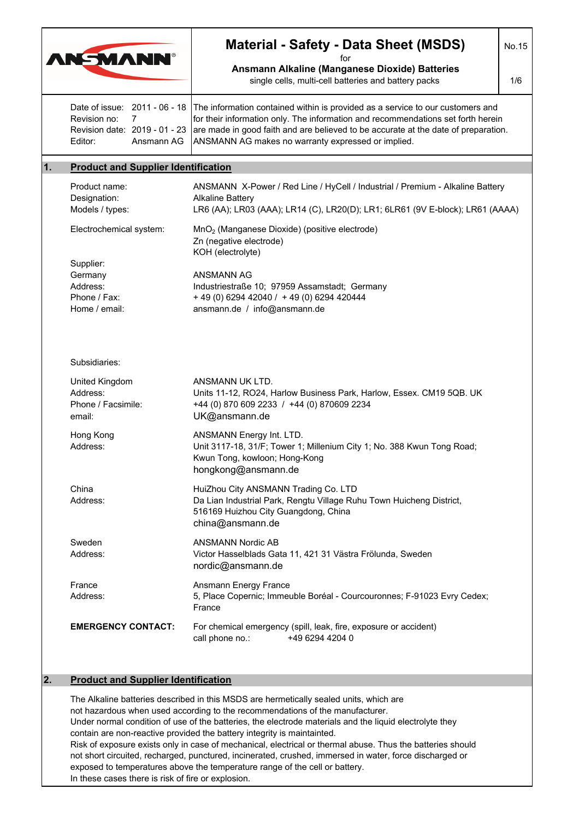| <b>AN-MANN®</b><br>for<br>Ansmann Alkaline (Manganese Dioxide) Batteries<br>single cells, multi-cell batteries and battery packs<br>Date of issue: 2011 - 06 - 18<br>The information contained within is provided as a service to our customers and<br>Revision no:<br>for their information only. The information and recommendations set forth herein<br>7<br>are made in good faith and are believed to be accurate at the date of preparation.<br>Revision date: 2019 - 01 - 23<br>Ansmann AG<br>ANSMANN AG makes no warranty expressed or implied.<br>Editor:<br>1.<br><b>Product and Supplier Identification</b><br>ANSMANN X-Power / Red Line / HyCell / Industrial / Premium - Alkaline Battery<br>Product name:<br>Designation:<br><b>Alkaline Battery</b><br>LR6 (AA); LR03 (AAA); LR14 (C), LR20(D); LR1; 6LR61 (9V E-block); LR61 (AAAA)<br>Models / types:<br>Electrochemical system:<br>MnO <sub>2</sub> (Manganese Dioxide) (positive electrode)<br>Zn (negative electrode)<br>KOH (electrolyte)<br>Supplier:<br>Germany<br>ANSMANN AG<br>Address:<br>Industriestraße 10; 97959 Assamstadt; Germany<br>Phone / Fax:<br>+ 49 (0) 6294 42040 / + 49 (0) 6294 420444<br>Home / email:<br>ansmann.de / info@ansmann.de<br>Subsidiaries:<br>United Kingdom<br>ANSMANN UK LTD.<br>Address:<br>Units 11-12, RO24, Harlow Business Park, Harlow, Essex. CM19 5QB. UK<br>Phone / Facsimile:<br>+44 (0) 870 609 2233 / +44 (0) 870609 2234<br>UK@ansmann.de<br>email:<br>Hong Kong<br>ANSMANN Energy Int. LTD.<br>Unit 3117-18, 31/F; Tower 1; Millenium City 1; No. 388 Kwun Tong Road;<br>Address:<br>Kwun Tong, kowloon; Hong-Kong<br>hongkong@ansmann.de<br>China<br>HuiZhou City ANSMANN Trading Co. LTD<br>Da Lian Industrial Park, Rengtu Village Ruhu Town Huicheng District,<br>Address:<br>516169 Huizhou City Guangdong, China<br>china@ansmann.de<br><b>ANSMANN Nordic AB</b><br>Sweden<br>Address:<br>Victor Hasselblads Gata 11, 421 31 Västra Frölunda, Sweden<br>nordic@ansmann.de<br>Ansmann Energy France<br>France<br>5, Place Copernic; Immeuble Boréal - Courcouronnes; F-91023 Evry Cedex;<br>Address:<br>France<br><b>EMERGENCY CONTACT:</b><br>For chemical emergency (spill, leak, fire, exposure or accident)<br>call phone no.:<br>+49 6294 4204 0 | <b>Material - Safety - Data Sheet (MSDS)</b> |     |  |
|------------------------------------------------------------------------------------------------------------------------------------------------------------------------------------------------------------------------------------------------------------------------------------------------------------------------------------------------------------------------------------------------------------------------------------------------------------------------------------------------------------------------------------------------------------------------------------------------------------------------------------------------------------------------------------------------------------------------------------------------------------------------------------------------------------------------------------------------------------------------------------------------------------------------------------------------------------------------------------------------------------------------------------------------------------------------------------------------------------------------------------------------------------------------------------------------------------------------------------------------------------------------------------------------------------------------------------------------------------------------------------------------------------------------------------------------------------------------------------------------------------------------------------------------------------------------------------------------------------------------------------------------------------------------------------------------------------------------------------------------------------------------------------------------------------------------------------------------------------------------------------------------------------------------------------------------------------------------------------------------------------------------------------------------------------------------------------------------------------------------------------------------------------------------------------------------------------------------------------------------------------------------------------|----------------------------------------------|-----|--|
|                                                                                                                                                                                                                                                                                                                                                                                                                                                                                                                                                                                                                                                                                                                                                                                                                                                                                                                                                                                                                                                                                                                                                                                                                                                                                                                                                                                                                                                                                                                                                                                                                                                                                                                                                                                                                                                                                                                                                                                                                                                                                                                                                                                                                                                                                    |                                              | 1/6 |  |
|                                                                                                                                                                                                                                                                                                                                                                                                                                                                                                                                                                                                                                                                                                                                                                                                                                                                                                                                                                                                                                                                                                                                                                                                                                                                                                                                                                                                                                                                                                                                                                                                                                                                                                                                                                                                                                                                                                                                                                                                                                                                                                                                                                                                                                                                                    |                                              |     |  |
|                                                                                                                                                                                                                                                                                                                                                                                                                                                                                                                                                                                                                                                                                                                                                                                                                                                                                                                                                                                                                                                                                                                                                                                                                                                                                                                                                                                                                                                                                                                                                                                                                                                                                                                                                                                                                                                                                                                                                                                                                                                                                                                                                                                                                                                                                    |                                              |     |  |
|                                                                                                                                                                                                                                                                                                                                                                                                                                                                                                                                                                                                                                                                                                                                                                                                                                                                                                                                                                                                                                                                                                                                                                                                                                                                                                                                                                                                                                                                                                                                                                                                                                                                                                                                                                                                                                                                                                                                                                                                                                                                                                                                                                                                                                                                                    |                                              |     |  |
|                                                                                                                                                                                                                                                                                                                                                                                                                                                                                                                                                                                                                                                                                                                                                                                                                                                                                                                                                                                                                                                                                                                                                                                                                                                                                                                                                                                                                                                                                                                                                                                                                                                                                                                                                                                                                                                                                                                                                                                                                                                                                                                                                                                                                                                                                    |                                              |     |  |
|                                                                                                                                                                                                                                                                                                                                                                                                                                                                                                                                                                                                                                                                                                                                                                                                                                                                                                                                                                                                                                                                                                                                                                                                                                                                                                                                                                                                                                                                                                                                                                                                                                                                                                                                                                                                                                                                                                                                                                                                                                                                                                                                                                                                                                                                                    |                                              |     |  |
|                                                                                                                                                                                                                                                                                                                                                                                                                                                                                                                                                                                                                                                                                                                                                                                                                                                                                                                                                                                                                                                                                                                                                                                                                                                                                                                                                                                                                                                                                                                                                                                                                                                                                                                                                                                                                                                                                                                                                                                                                                                                                                                                                                                                                                                                                    |                                              |     |  |
|                                                                                                                                                                                                                                                                                                                                                                                                                                                                                                                                                                                                                                                                                                                                                                                                                                                                                                                                                                                                                                                                                                                                                                                                                                                                                                                                                                                                                                                                                                                                                                                                                                                                                                                                                                                                                                                                                                                                                                                                                                                                                                                                                                                                                                                                                    |                                              |     |  |
|                                                                                                                                                                                                                                                                                                                                                                                                                                                                                                                                                                                                                                                                                                                                                                                                                                                                                                                                                                                                                                                                                                                                                                                                                                                                                                                                                                                                                                                                                                                                                                                                                                                                                                                                                                                                                                                                                                                                                                                                                                                                                                                                                                                                                                                                                    |                                              |     |  |
|                                                                                                                                                                                                                                                                                                                                                                                                                                                                                                                                                                                                                                                                                                                                                                                                                                                                                                                                                                                                                                                                                                                                                                                                                                                                                                                                                                                                                                                                                                                                                                                                                                                                                                                                                                                                                                                                                                                                                                                                                                                                                                                                                                                                                                                                                    |                                              |     |  |
|                                                                                                                                                                                                                                                                                                                                                                                                                                                                                                                                                                                                                                                                                                                                                                                                                                                                                                                                                                                                                                                                                                                                                                                                                                                                                                                                                                                                                                                                                                                                                                                                                                                                                                                                                                                                                                                                                                                                                                                                                                                                                                                                                                                                                                                                                    |                                              |     |  |
|                                                                                                                                                                                                                                                                                                                                                                                                                                                                                                                                                                                                                                                                                                                                                                                                                                                                                                                                                                                                                                                                                                                                                                                                                                                                                                                                                                                                                                                                                                                                                                                                                                                                                                                                                                                                                                                                                                                                                                                                                                                                                                                                                                                                                                                                                    |                                              |     |  |
|                                                                                                                                                                                                                                                                                                                                                                                                                                                                                                                                                                                                                                                                                                                                                                                                                                                                                                                                                                                                                                                                                                                                                                                                                                                                                                                                                                                                                                                                                                                                                                                                                                                                                                                                                                                                                                                                                                                                                                                                                                                                                                                                                                                                                                                                                    |                                              |     |  |
|                                                                                                                                                                                                                                                                                                                                                                                                                                                                                                                                                                                                                                                                                                                                                                                                                                                                                                                                                                                                                                                                                                                                                                                                                                                                                                                                                                                                                                                                                                                                                                                                                                                                                                                                                                                                                                                                                                                                                                                                                                                                                                                                                                                                                                                                                    |                                              |     |  |
| <b>Product and Supplier Identification</b><br>2.                                                                                                                                                                                                                                                                                                                                                                                                                                                                                                                                                                                                                                                                                                                                                                                                                                                                                                                                                                                                                                                                                                                                                                                                                                                                                                                                                                                                                                                                                                                                                                                                                                                                                                                                                                                                                                                                                                                                                                                                                                                                                                                                                                                                                                   |                                              |     |  |

not hazardous when used according to the recommendations of the manufacturer. Under normal condition of use of the batteries, the electrode materials and the liquid electrolyte they contain are non-reactive provided the battery integrity is maintainted. Risk of exposure exists only in case of mechanical, electrical or thermal abuse. Thus the batteries should not short circuited, recharged, punctured, incinerated, crushed, immersed in water, force discharged or exposed to temperatures above the temperature range of the cell or battery. In these cases there is risk of fire or explosion.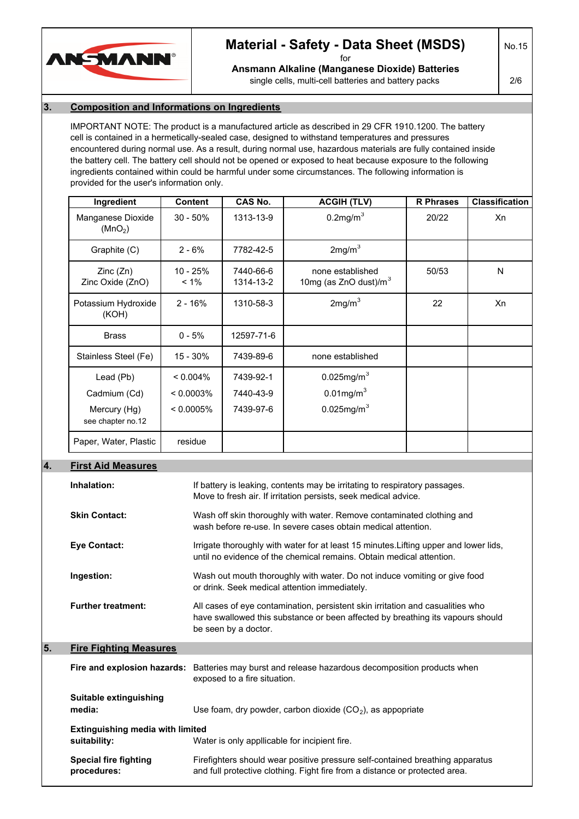

# **Material - Safety - Data Sheet (MSDS)** for

No.15

**Ansmann Alkaline (Manganese Dioxide) Batteries**

single cells, multi-cell batteries and battery packs

2/6

### **3. Composition and Informations on Ingredients**

IMPORTANT NOTE: The product is a manufactured article as described in 29 CFR 1910.1200. The battery cell is contained in a hermetically-sealed case, designed to withstand temperatures and pressures encountered during normal use. As a result, during normal use, hazardous materials are fully contained inside the battery cell. The battery cell should not be opened or exposed to heat because exposure to the following ingredients contained within could be harmful under some circumstances. The following information is provided for the user's information only.

| Ingredient                               | <b>Content</b>        | CAS No.                | <b>ACGIH (TLV)</b>                           | <b>R</b> Phrases | <b>Classification</b> |
|------------------------------------------|-----------------------|------------------------|----------------------------------------------|------------------|-----------------------|
| Manganese Dioxide<br>(MnO <sub>2</sub> ) | $30 - 50%$            | 1313-13-9              | $0.2$ mg/m $3$                               | 20/22            | Xn                    |
| Graphite (C)                             | $2 - 6%$              | 7782-42-5              | 2mg/m <sup>3</sup>                           |                  |                       |
| Zinc(Zn)<br>Zinc Oxide (ZnO)             | $10 - 25%$<br>$< 1\%$ | 7440-66-6<br>1314-13-2 | none established<br>10mg (as ZnO dust)/ $m3$ | 50/53            | N                     |
| Potassium Hydroxide<br>(KOH)             | $2 - 16%$             | 1310-58-3              | 2mg/m <sup>3</sup>                           | 22               | Xn                    |
| <b>Brass</b>                             | $0 - 5%$              | 12597-71-6             |                                              |                  |                       |
| Stainless Steel (Fe)                     | 15 - 30%              | 7439-89-6              | none established                             |                  |                       |
| Lead (Pb)                                | $< 0.004\%$           | 7439-92-1              | $0.025$ mg/m <sup>3</sup>                    |                  |                       |
| Cadmium (Cd)                             | $< 0.0003\%$          | 7440-43-9              | $0.01$ mg/m $3$                              |                  |                       |
| Mercury (Hg)<br>see chapter no.12        | $< 0.0005\%$          | 7439-97-6              | $0.025$ mg/m <sup>3</sup>                    |                  |                       |
| Paper, Water, Plastic                    | residue               |                        |                                              |                  |                       |

### **4. First Aid Measures**

|                                                         | Inhalation:                                 | If battery is leaking, contents may be irritating to respiratory passages.<br>Move to fresh air. If irritation persists, seek medical advice.                                            |
|---------------------------------------------------------|---------------------------------------------|------------------------------------------------------------------------------------------------------------------------------------------------------------------------------------------|
|                                                         | <b>Skin Contact:</b>                        | Wash off skin thoroughly with water. Remove contaminated clothing and<br>wash before re-use. In severe cases obtain medical attention.                                                   |
|                                                         | <b>Eye Contact:</b>                         | Irrigate thoroughly with water for at least 15 minutes. Lifting upper and lower lids,<br>until no evidence of the chemical remains. Obtain medical attention.                            |
|                                                         | Ingestion:                                  | Wash out mouth thoroughly with water. Do not induce vomiting or give food<br>or drink. Seek medical attention immediately.                                                               |
|                                                         | <b>Further treatment:</b>                   | All cases of eye contamination, persistent skin irritation and casualities who<br>have swallowed this substance or been affected by breathing its vapours should<br>be seen by a doctor. |
| 5.                                                      | <b>Fire Fighting Measures</b>               |                                                                                                                                                                                          |
|                                                         |                                             | Fire and explosion hazards: Batteries may burst and release hazardous decomposition products when<br>exposed to a fire situation.                                                        |
|                                                         | Suitable extinguishing<br>media:            | Use foam, dry powder, carbon dioxide $(CO2)$ , as appopriate                                                                                                                             |
| <b>Extinguishing media with limited</b><br>suitability: |                                             | Water is only appllicable for incipient fire.                                                                                                                                            |
|                                                         | <b>Special fire fighting</b><br>procedures: | Firefighters should wear positive pressure self-contained breathing apparatus<br>and full protective clothing. Fight fire from a distance or protected area.                             |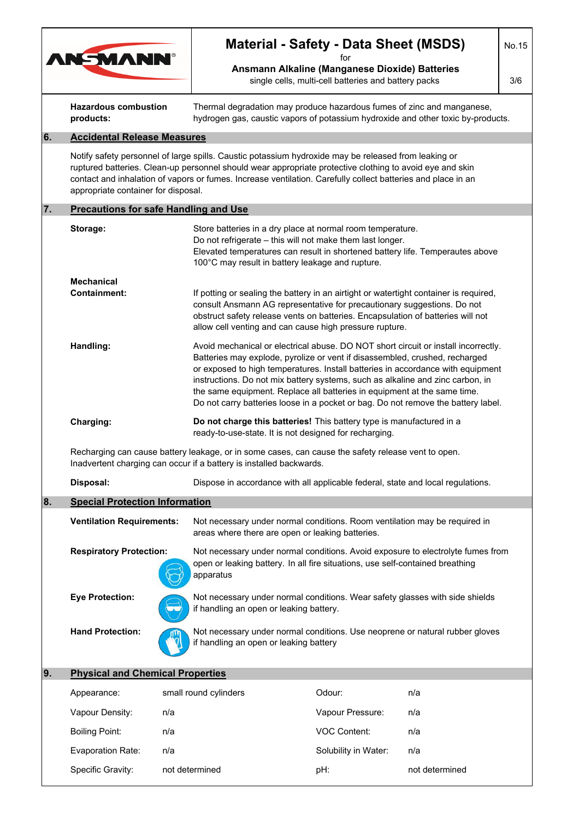|    |                                                                                                                                                                                                                                                                                                                                                                         |     | <b>Material - Safety - Data Sheet (MSDS)</b>                                                                                                                                                                                                                                                                                                                                                                                                                                                            |                                                                                                               |                | No.15 |  |
|----|-------------------------------------------------------------------------------------------------------------------------------------------------------------------------------------------------------------------------------------------------------------------------------------------------------------------------------------------------------------------------|-----|---------------------------------------------------------------------------------------------------------------------------------------------------------------------------------------------------------------------------------------------------------------------------------------------------------------------------------------------------------------------------------------------------------------------------------------------------------------------------------------------------------|---------------------------------------------------------------------------------------------------------------|----------------|-------|--|
|    | <b>AN-MANN®</b>                                                                                                                                                                                                                                                                                                                                                         |     |                                                                                                                                                                                                                                                                                                                                                                                                                                                                                                         | tor<br>Ansmann Alkaline (Manganese Dioxide) Batteries<br>single cells, multi-cell batteries and battery packs |                | 3/6   |  |
|    | <b>Hazardous combustion</b><br>products:                                                                                                                                                                                                                                                                                                                                |     | Thermal degradation may produce hazardous fumes of zinc and manganese,<br>hydrogen gas, caustic vapors of potassium hydroxide and other toxic by-products.                                                                                                                                                                                                                                                                                                                                              |                                                                                                               |                |       |  |
| 6. | <b>Accidental Release Measures</b>                                                                                                                                                                                                                                                                                                                                      |     |                                                                                                                                                                                                                                                                                                                                                                                                                                                                                                         |                                                                                                               |                |       |  |
|    | Notify safety personnel of large spills. Caustic potassium hydroxide may be released from leaking or<br>ruptured batteries. Clean-up personnel should wear appropriate protective clothing to avoid eye and skin<br>contact and inhalation of vapors or fumes. Increase ventilation. Carefully collect batteries and place in an<br>appropriate container for disposal. |     |                                                                                                                                                                                                                                                                                                                                                                                                                                                                                                         |                                                                                                               |                |       |  |
| 7. | <b>Precautions for safe Handling and Use</b>                                                                                                                                                                                                                                                                                                                            |     |                                                                                                                                                                                                                                                                                                                                                                                                                                                                                                         |                                                                                                               |                |       |  |
|    | Storage:                                                                                                                                                                                                                                                                                                                                                                |     | Store batteries in a dry place at normal room temperature.<br>Do not refrigerate - this will not make them last longer.<br>Elevated temperatures can result in shortened battery life. Temperautes above<br>100°C may result in battery leakage and rupture.                                                                                                                                                                                                                                            |                                                                                                               |                |       |  |
|    | <b>Mechanical</b>                                                                                                                                                                                                                                                                                                                                                       |     |                                                                                                                                                                                                                                                                                                                                                                                                                                                                                                         |                                                                                                               |                |       |  |
|    | Containment:                                                                                                                                                                                                                                                                                                                                                            |     | If potting or sealing the battery in an airtight or watertight container is required,<br>consult Ansmann AG representative for precautionary suggestions. Do not<br>obstruct safety release vents on batteries. Encapsulation of batteries will not<br>allow cell venting and can cause high pressure rupture.                                                                                                                                                                                          |                                                                                                               |                |       |  |
|    | Handling:                                                                                                                                                                                                                                                                                                                                                               |     | Avoid mechanical or electrical abuse. DO NOT short circuit or install incorrectly.<br>Batteries may explode, pyrolize or vent if disassembled, crushed, recharged<br>or exposed to high temperatures. Install batteries in accordance with equipment<br>instructions. Do not mix battery systems, such as alkaline and zinc carbon, in<br>the same equipment. Replace all batteries in equipment at the same time.<br>Do not carry batteries loose in a pocket or bag. Do not remove the battery label. |                                                                                                               |                |       |  |
|    | Charging:                                                                                                                                                                                                                                                                                                                                                               |     | Do not charge this batteries! This battery type is manufactured in a<br>ready-to-use-state. It is not designed for recharging.                                                                                                                                                                                                                                                                                                                                                                          |                                                                                                               |                |       |  |
|    |                                                                                                                                                                                                                                                                                                                                                                         |     | Recharging can cause battery leakage, or in some cases, can cause the safety release vent to open.<br>Inadvertent charging can occur if a battery is installed backwards.                                                                                                                                                                                                                                                                                                                               |                                                                                                               |                |       |  |
|    | Disposal:                                                                                                                                                                                                                                                                                                                                                               |     | Dispose in accordance with all applicable federal, state and local regulations.                                                                                                                                                                                                                                                                                                                                                                                                                         |                                                                                                               |                |       |  |
| 8. | <b>Special Protection Information</b>                                                                                                                                                                                                                                                                                                                                   |     |                                                                                                                                                                                                                                                                                                                                                                                                                                                                                                         |                                                                                                               |                |       |  |
|    | <b>Ventilation Requirements:</b><br><b>Respiratory Protection:</b>                                                                                                                                                                                                                                                                                                      |     | Not necessary under normal conditions. Room ventilation may be required in<br>areas where there are open or leaking batteries.                                                                                                                                                                                                                                                                                                                                                                          |                                                                                                               |                |       |  |
|    |                                                                                                                                                                                                                                                                                                                                                                         |     | Not necessary under normal conditions. Avoid exposure to electrolyte fumes from<br>open or leaking battery. In all fire situations, use self-contained breathing<br>apparatus                                                                                                                                                                                                                                                                                                                           |                                                                                                               |                |       |  |
|    | <b>Eye Protection:</b>                                                                                                                                                                                                                                                                                                                                                  |     | Not necessary under normal conditions. Wear safety glasses with side shields<br>if handling an open or leaking battery.                                                                                                                                                                                                                                                                                                                                                                                 |                                                                                                               |                |       |  |
|    | <b>Hand Protection:</b>                                                                                                                                                                                                                                                                                                                                                 |     | Not necessary under normal conditions. Use neoprene or natural rubber gloves<br>if handling an open or leaking battery                                                                                                                                                                                                                                                                                                                                                                                  |                                                                                                               |                |       |  |
| 9. | <b>Physical and Chemical Properties</b>                                                                                                                                                                                                                                                                                                                                 |     |                                                                                                                                                                                                                                                                                                                                                                                                                                                                                                         |                                                                                                               |                |       |  |
|    | Appearance:                                                                                                                                                                                                                                                                                                                                                             |     | small round cylinders                                                                                                                                                                                                                                                                                                                                                                                                                                                                                   | Odour:                                                                                                        | n/a            |       |  |
|    | Vapour Density:                                                                                                                                                                                                                                                                                                                                                         | n/a |                                                                                                                                                                                                                                                                                                                                                                                                                                                                                                         | Vapour Pressure:                                                                                              | n/a            |       |  |
|    | <b>Boiling Point:</b>                                                                                                                                                                                                                                                                                                                                                   | n/a |                                                                                                                                                                                                                                                                                                                                                                                                                                                                                                         | <b>VOC Content:</b>                                                                                           | n/a            |       |  |
|    | <b>Evaporation Rate:</b>                                                                                                                                                                                                                                                                                                                                                | n/a |                                                                                                                                                                                                                                                                                                                                                                                                                                                                                                         | Solubility in Water:                                                                                          | n/a            |       |  |
|    | Specific Gravity:<br>not determined                                                                                                                                                                                                                                                                                                                                     |     |                                                                                                                                                                                                                                                                                                                                                                                                                                                                                                         | pH:                                                                                                           | not determined |       |  |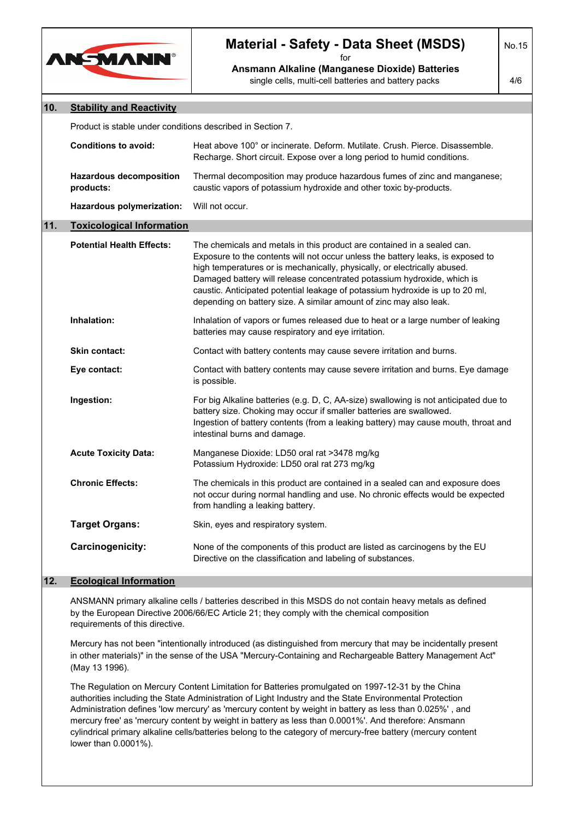

# **Material - Safety - Data Sheet (MSDS)**

for **Ansmann Alkaline (Manganese Dioxide) Batteries** single cells, multi-cell batteries and battery packs

No.15

4/6

| 10. | <b>Stability and Reactivity</b>                            |                                                                                                                                                                                                                                                                                                                                                                                                                                                                           |  |
|-----|------------------------------------------------------------|---------------------------------------------------------------------------------------------------------------------------------------------------------------------------------------------------------------------------------------------------------------------------------------------------------------------------------------------------------------------------------------------------------------------------------------------------------------------------|--|
|     | Product is stable under conditions described in Section 7. |                                                                                                                                                                                                                                                                                                                                                                                                                                                                           |  |
|     | <b>Conditions to avoid:</b>                                | Heat above 100° or incinerate. Deform. Mutilate. Crush. Pierce. Disassemble.<br>Recharge. Short circuit. Expose over a long period to humid conditions.                                                                                                                                                                                                                                                                                                                   |  |
|     | <b>Hazardous decomposition</b><br>products:                | Thermal decomposition may produce hazardous fumes of zinc and manganese;<br>caustic vapors of potassium hydroxide and other toxic by-products.                                                                                                                                                                                                                                                                                                                            |  |
|     | Hazardous polymerization:                                  | Will not occur.                                                                                                                                                                                                                                                                                                                                                                                                                                                           |  |
| 11. | <b>Toxicological Information</b>                           |                                                                                                                                                                                                                                                                                                                                                                                                                                                                           |  |
|     | <b>Potential Health Effects:</b>                           | The chemicals and metals in this product are contained in a sealed can.<br>Exposure to the contents will not occur unless the battery leaks, is exposed to<br>high temperatures or is mechanically, physically, or electrically abused.<br>Damaged battery will release concentrated potassium hydroxide, which is<br>caustic. Anticipated potential leakage of potassium hydroxide is up to 20 ml,<br>depending on battery size. A similar amount of zinc may also leak. |  |
|     | Inhalation:                                                | Inhalation of vapors or fumes released due to heat or a large number of leaking<br>batteries may cause respiratory and eye irritation.                                                                                                                                                                                                                                                                                                                                    |  |
|     | Skin contact:                                              | Contact with battery contents may cause severe irritation and burns.                                                                                                                                                                                                                                                                                                                                                                                                      |  |
|     | Eye contact:                                               | Contact with battery contents may cause severe irritation and burns. Eye damage<br>is possible.                                                                                                                                                                                                                                                                                                                                                                           |  |
|     | Ingestion:                                                 | For big Alkaline batteries (e.g. D, C, AA-size) swallowing is not anticipated due to<br>battery size. Choking may occur if smaller batteries are swallowed.<br>Ingestion of battery contents (from a leaking battery) may cause mouth, throat and<br>intestinal burns and damage.                                                                                                                                                                                         |  |
|     | <b>Acute Toxicity Data:</b>                                | Manganese Dioxide: LD50 oral rat >3478 mg/kg<br>Potassium Hydroxide: LD50 oral rat 273 mg/kg                                                                                                                                                                                                                                                                                                                                                                              |  |
|     | <b>Chronic Effects:</b>                                    | The chemicals in this product are contained in a sealed can and exposure does<br>not occur during normal handling and use. No chronic effects would be expected<br>from handling a leaking battery.                                                                                                                                                                                                                                                                       |  |
|     | <b>Target Organs:</b>                                      | Skin, eyes and respiratory system.                                                                                                                                                                                                                                                                                                                                                                                                                                        |  |
|     | Carcinogenicity:                                           | None of the components of this product are listed as carcinogens by the EU<br>Directive on the classification and labeling of substances.                                                                                                                                                                                                                                                                                                                                 |  |
| 12. | <b>Ecological Information</b>                              |                                                                                                                                                                                                                                                                                                                                                                                                                                                                           |  |
|     |                                                            |                                                                                                                                                                                                                                                                                                                                                                                                                                                                           |  |

ANSMANN primary alkaline cells / batteries described in this MSDS do not contain heavy metals as defined by the European Directive 2006/66/EC Article 21; they comply with the chemical composition requirements of this directive.

Mercury has not been "intentionally introduced (as distinguished from mercury that may be incidentally present in other materials)" in the sense of the USA "Mercury-Containing and Rechargeable Battery Management Act" (May 13 1996).

The Regulation on Mercury Content Limitation for Batteries promulgated on 1997-12-31 by the China authorities including the State Administration of Light Industry and the State Environmental Protection Administration defines 'low mercury' as 'mercury content by weight in battery as less than 0.025%' , and mercury free' as 'mercury content by weight in battery as less than 0.0001%'. And therefore: Ansmann cylindrical primary alkaline cells/batteries belong to the category of mercury-free battery (mercury content lower than 0.0001%).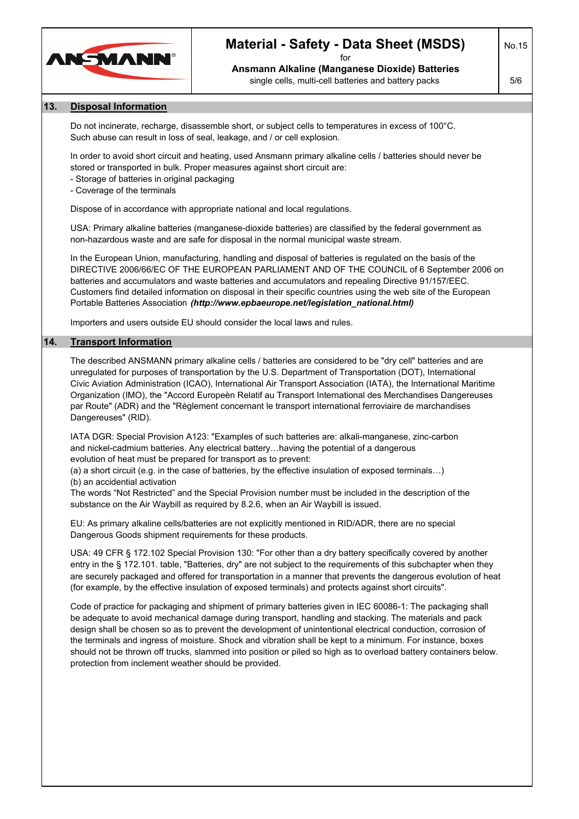

# **Material - Safety - Data Sheet (MSDS)**

for **Ansmann Alkaline (Manganese Dioxide) Batteries** single cells, multi-cell batteries and battery packs

No.15 5/6

### **13. Disposal Information**

Do not incinerate, recharge, disassemble short, or subject cells to temperatures in excess of 100°C. Such abuse can result in loss of seal, leakage, and / or cell explosion.

In order to avoid short circuit and heating, used Ansmann primary alkaline cells / batteries should never be stored or transported in bulk. Proper measures against short circuit are:

- Storage of batteries in original packaging

- Coverage of the terminals

Dispose of in accordance with appropriate national and local regulations.

USA: Primary alkaline batteries (manganese-dioxide batteries) are classified by the federal government as non-hazardous waste and are safe for disposal in the normal municipal waste stream.

In the European Union, manufacturing, handling and disposal of batteries is regulated on the basis of the DIRECTIVE 2006/66/EC OF THE EUROPEAN PARLIAMENT AND OF THE COUNCIL of 6 September 2006 on batteries and accumulators and waste batteries and accumulators and repealing Directive 91/157/EEC. Customers find detailed information on disposal in their specific countries using the web site of the European Portable Batteries Association *(http://www.epbaeurope.net/legislation\_national.html)*

Importers and users outside EU should consider the local laws and rules.

#### **14. Transport Information**

The described ANSMANN primary alkaline cells / batteries are considered to be "dry cell" batteries and are unregulated for purposes of transportation by the U.S. Department of Transportation (DOT), International Civic Aviation Administration (ICAO), International Air Transport Association (IATA), the International Maritime Organization (IMO), the "Accord Europeèn Relatif au Transport International des Merchandises Dangereuses par Route" (ADR) and the "Règlement concernant le transport international ferroviaire de marchandises Dangereuses" (RID).

IATA DGR: Special Provision A123: "Examples of such batteries are: alkali-manganese, zinc-carbon and nickel-cadmium batteries. Any electrical battery…having the potential of a dangerous evolution of heat must be prepared for transport as to prevent:

(a) a short circuit (e.g. in the case of batteries, by the effective insulation of exposed terminals…) (b) an accidential activation

The words "Not Restricted" and the Special Provision number must be included in the description of the substance on the Air Waybill as required by 8.2.6, when an Air Waybill is issued.

EU: As primary alkaline cells/batteries are not explicitly mentioned in RID/ADR, there are no special Dangerous Goods shipment requirements for these products.

USA: 49 CFR § 172.102 Special Provision 130: "For other than a dry battery specifically covered by another entry in the § 172.101. table, "Batteries, dry" are not subject to the requirements of this subchapter when they are securely packaged and offered for transportation in a manner that prevents the dangerous evolution of heat (for example, by the effective insulation of exposed terminals) and protects against short circuits".

Code of practice for packaging and shipment of primary batteries given in IEC 60086-1: The packaging shall be adequate to avoid mechanical damage during transport, handling and stacking. The materials and pack design shall be chosen so as to prevent the development of unintentional electrical conduction, corrosion of the terminals and ingress of moisture. Shock and vibration shall be kept to a minimum. For instance, boxes should not be thrown off trucks, slammed into position or piled so high as to overload battery containers below. protection from inclement weather should be provided.